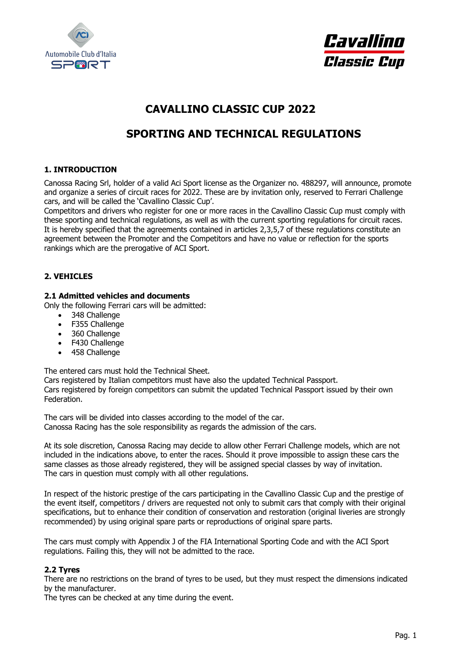



# **CAVALLINO CLASSIC CUP 2022**

# **SPORTING AND TECHNICAL REGULATIONS**

# **1. INTRODUCTION**

Canossa Racing Srl, holder of a valid Aci Sport license as the Organizer no. 488297, will announce, promote and organize a series of circuit races for 2022. These are by invitation only, reserved to Ferrari Challenge cars, and will be called the 'Cavallino Classic Cup'.

Competitors and drivers who register for one or more races in the Cavallino Classic Cup must comply with these sporting and technical regulations, as well as with the current sporting regulations for circuit races. It is hereby specified that the agreements contained in articles 2,3,5,7 of these regulations constitute an agreement between the Promoter and the Competitors and have no value or reflection for the sports rankings which are the prerogative of ACI Sport.

# **2. VEHICLES**

## **2.1 Admitted vehicles and documents**

Only the following Ferrari cars will be admitted:

- 348 Challenge
- F355 Challenge
- 360 Challenge
- F430 Challenge
- 458 Challenge

The entered cars must hold the Technical Sheet.

Cars registered by Italian competitors must have also the updated Technical Passport. Cars registered by foreign competitors can submit the updated Technical Passport issued by their own Federation.

The cars will be divided into classes according to the model of the car. Canossa Racing has the sole responsibility as regards the admission of the cars.

At its sole discretion, Canossa Racing may decide to allow other Ferrari Challenge models, which are not included in the indications above, to enter the races. Should it prove impossible to assign these cars the same classes as those already registered, they will be assigned special classes by way of invitation. The cars in question must comply with all other regulations.

In respect of the historic prestige of the cars participating in the Cavallino Classic Cup and the prestige of the event itself, competitors / drivers are requested not only to submit cars that comply with their original specifications, but to enhance their condition of conservation and restoration (original liveries are strongly recommended) by using original spare parts or reproductions of original spare parts.

The cars must comply with Appendix J of the FIA International Sporting Code and with the ACI Sport regulations. Failing this, they will not be admitted to the race.

#### **2.2 Tyres**

There are no restrictions on the brand of tyres to be used, but they must respect the dimensions indicated by the manufacturer.

The tyres can be checked at any time during the event.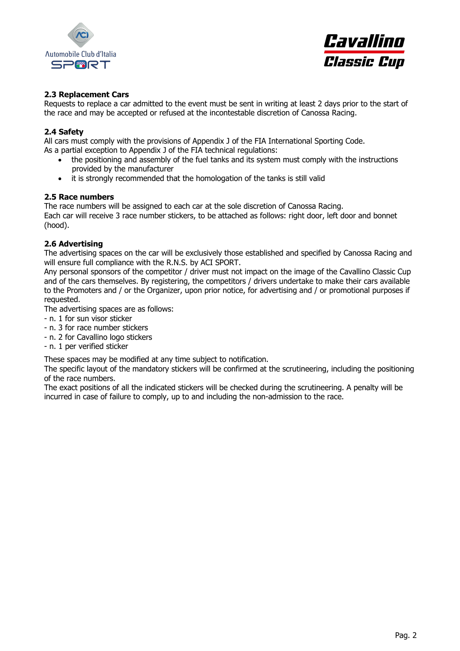



## **2.3 Replacement Cars**

Requests to replace a car admitted to the event must be sent in writing at least 2 days prior to the start of the race and may be accepted or refused at the incontestable discretion of Canossa Racing.

### **2.4 Safety**

All cars must comply with the provisions of Appendix J of the FIA International Sporting Code. As a partial exception to Appendix J of the FIA technical regulations:

- the positioning and assembly of the fuel tanks and its system must comply with the instructions provided by the manufacturer
- it is strongly recommended that the homologation of the tanks is still valid

#### **2.5 Race numbers**

The race numbers will be assigned to each car at the sole discretion of Canossa Racing. Each car will receive 3 race number stickers, to be attached as follows: right door, left door and bonnet (hood).

#### **2.6 Advertising**

The advertising spaces on the car will be exclusively those established and specified by Canossa Racing and will ensure full compliance with the R.N.S. by ACI SPORT.

Any personal sponsors of the competitor / driver must not impact on the image of the Cavallino Classic Cup and of the cars themselves. By registering, the competitors / drivers undertake to make their cars available to the Promoters and / or the Organizer, upon prior notice, for advertising and / or promotional purposes if requested.

The advertising spaces are as follows:

- n. 1 for sun visor sticker
- n. 3 for race number stickers
- n. 2 for Cavallino logo stickers
- n. 1 per verified sticker

These spaces may be modified at any time subject to notification.

The specific layout of the mandatory stickers will be confirmed at the scrutineering, including the positioning of the race numbers.

The exact positions of all the indicated stickers will be checked during the scrutineering. A penalty will be incurred in case of failure to comply, up to and including the non-admission to the race.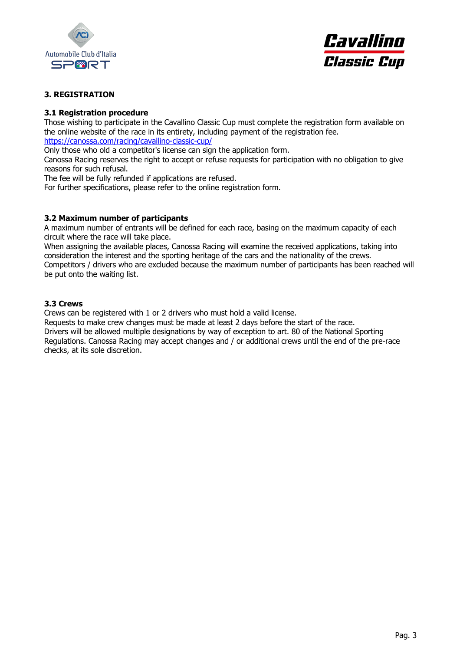



# **3. REGISTRATION**

# **3.1 Registration procedure**

Those wishing to participate in the Cavallino Classic Cup must complete the registration form available on the online website of the race in its entirety, including payment of the registration fee. https://canossa.com/racing/cavallino-classic-cup/

Only those who old a competitor's license can sign the application form.

Canossa Racing reserves the right to accept or refuse requests for participation with no obligation to give reasons for such refusal.

The fee will be fully refunded if applications are refused.

For further specifications, please refer to the online registration form.

## **3.2 Maximum number of participants**

A maximum number of entrants will be defined for each race, basing on the maximum capacity of each circuit where the race will take place.

When assigning the available places, Canossa Racing will examine the received applications, taking into consideration the interest and the sporting heritage of the cars and the nationality of the crews. Competitors / drivers who are excluded because the maximum number of participants has been reached will be put onto the waiting list.

#### **3.3 Crews**

Crews can be registered with 1 or 2 drivers who must hold a valid license.

Requests to make crew changes must be made at least 2 days before the start of the race. Drivers will be allowed multiple designations by way of exception to art. 80 of the National Sporting Regulations. Canossa Racing may accept changes and / or additional crews until the end of the pre-race checks, at its sole discretion.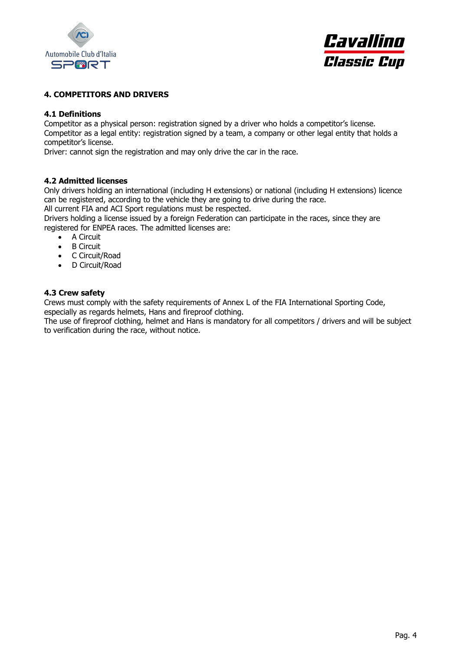



## **4. COMPETITORS AND DRIVERS**

## **4.1 Definitions**

Competitor as a physical person: registration signed by a driver who holds a competitor's license. Competitor as a legal entity: registration signed by a team, a company or other legal entity that holds a competitor's license.

Driver: cannot sign the registration and may only drive the car in the race.

#### **4.2 Admitted licenses**

Only drivers holding an international (including H extensions) or national (including H extensions) licence can be registered, according to the vehicle they are going to drive during the race.

All current FIA and ACI Sport regulations must be respected.

Drivers holding a license issued by a foreign Federation can participate in the races, since they are registered for ENPEA races. The admitted licenses are:

- A Circuit
- B Circuit
- C Circuit/Road
- D Circuit/Road

#### **4.3 Crew safety**

Crews must comply with the safety requirements of Annex L of the FIA International Sporting Code, especially as regards helmets, Hans and fireproof clothing.

The use of fireproof clothing, helmet and Hans is mandatory for all competitors / drivers and will be subject to verification during the race, without notice.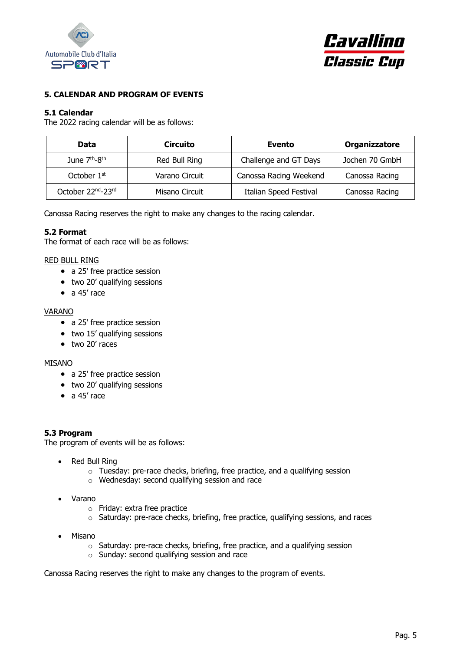



# **5. CALENDAR AND PROGRAM OF EVENTS**

## **5.1 Calendar**

The 2022 racing calendar will be as follows:

| Data                                  | <b>Circuito</b> | Evento                 | Organizzatore  |  |
|---------------------------------------|-----------------|------------------------|----------------|--|
| June 7 <sup>th</sup> -8 <sup>th</sup> | Red Bull Ring   | Challenge and GT Days  | Jochen 70 GmbH |  |
| October $1st$                         | Varano Circuit  | Canossa Racing Weekend | Canossa Racing |  |
| October 22nd-23rd                     | Misano Circuit  | Italian Speed Festival | Canossa Racing |  |

Canossa Racing reserves the right to make any changes to the racing calendar.

#### **5.2 Format**

The format of each race will be as follows:

#### RED BULL RING

- a 25' free practice session
- two 20' qualifying sessions
- $\bullet$  a 45' race

#### VARANO

- a 25' free practice session
- two 15' qualifying sessions
- two 20' races

#### MISANO

- a 25' free practice session
- two 20' qualifying sessions
- $\bullet$  a 45' race

#### **5.3 Program**

The program of events will be as follows:

- Red Bull Ring
	- o Tuesday: pre-race checks, briefing, free practice, and a qualifying session
	- o Wednesday: second qualifying session and race
- Varano
	- o Friday: extra free practice
	- o Saturday: pre-race checks, briefing, free practice, qualifying sessions, and races
- Misano
	- o Saturday: pre-race checks, briefing, free practice, and a qualifying session
	- o Sunday: second qualifying session and race

Canossa Racing reserves the right to make any changes to the program of events.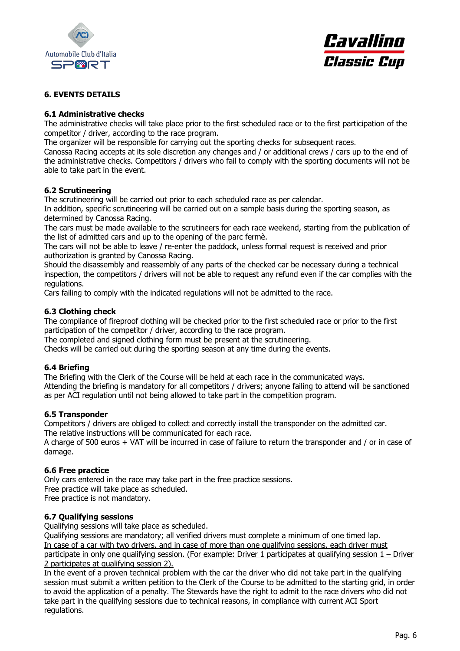



# **6. EVENTS DETAILS**

## **6.1 Administrative checks**

The administrative checks will take place prior to the first scheduled race or to the first participation of the competitor / driver, according to the race program.

The organizer will be responsible for carrying out the sporting checks for subsequent races.

Canossa Racing accepts at its sole discretion any changes and / or additional crews / cars up to the end of the administrative checks. Competitors / drivers who fail to comply with the sporting documents will not be able to take part in the event.

## **6.2 Scrutineering**

The scrutineering will be carried out prior to each scheduled race as per calendar.

In addition, specific scrutineering will be carried out on a sample basis during the sporting season, as determined by Canossa Racing.

The cars must be made available to the scrutineers for each race weekend, starting from the publication of the list of admitted cars and up to the opening of the parc fermè.

The cars will not be able to leave / re-enter the paddock, unless formal request is received and prior authorization is granted by Canossa Racing.

Should the disassembly and reassembly of any parts of the checked car be necessary during a technical inspection, the competitors / drivers will not be able to request any refund even if the car complies with the regulations.

Cars failing to comply with the indicated regulations will not be admitted to the race.

#### **6.3 Clothing check**

The compliance of fireproof clothing will be checked prior to the first scheduled race or prior to the first participation of the competitor / driver, according to the race program.

The completed and signed clothing form must be present at the scrutineering.

Checks will be carried out during the sporting season at any time during the events.

#### **6.4 Briefing**

The Briefing with the Clerk of the Course will be held at each race in the communicated ways. Attending the briefing is mandatory for all competitors / drivers; anyone failing to attend will be sanctioned as per ACI regulation until not being allowed to take part in the competition program.

#### **6.5 Transponder**

Competitors / drivers are obliged to collect and correctly install the transponder on the admitted car. The relative instructions will be communicated for each race.

A charge of 500 euros + VAT will be incurred in case of failure to return the transponder and / or in case of damage.

#### **6.6 Free practice**

Only cars entered in the race may take part in the free practice sessions. Free practice will take place as scheduled. Free practice is not mandatory.

# **6.7 Qualifying sessions**

Qualifying sessions will take place as scheduled.

Qualifying sessions are mandatory; all verified drivers must complete a minimum of one timed lap. In case of a car with two drivers, and in case of more than one qualifying sessions, each driver must participate in only one qualifying session. (For example: Driver 1 participates at qualifying session 1 – Driver 2 participates at qualifying session 2).

In the event of a proven technical problem with the car the driver who did not take part in the qualifying session must submit a written petition to the Clerk of the Course to be admitted to the starting grid, in order to avoid the application of a penalty. The Stewards have the right to admit to the race drivers who did not take part in the qualifying sessions due to technical reasons, in compliance with current ACI Sport regulations.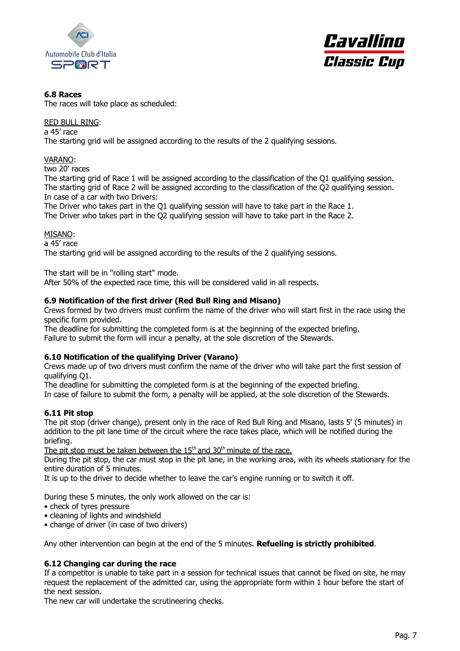



## **6.8 Races**

The races will take place as scheduled:

# RED BULL RING:

a 45' race

The starting grid will be assigned according to the results of the 2 qualifying sessions.

### VARANO:

two 20' races

The starting grid of Race 1 will be assigned according to the classification of the Q1 qualifying session. The starting grid of Race 2 will be assigned according to the classification of the Q2 qualifying session. In case of a car with two Drivers:

The Driver who takes part in the Q1 qualifying session will have to take part in the Race 1. The Driver who takes part in the Q2 qualifying session will have to take part in the Race 2.

## MISANO:

a 45' race

The starting grid will be assigned according to the results of the 2 qualifying sessions.

The start will be in "rolling start" mode.

After 50% of the expected race time, this will be considered valid in all respects.

# **6.9 Notification of the first driver (Red Bull Ring and Misano)**

Crews formed by two drivers must confirm the name of the driver who will start first in the race using the specific form provided.

The deadline for submitting the completed form is at the beginning of the expected briefing. Failure to submit the form will incur a penalty, at the sole discretion of the Stewards.

# **6.10 Notification of the qualifying Driver (Varano)**

Crews made up of two drivers must confirm the name of the driver who will take part the first session of qualifying Q1.

The deadline for submitting the completed form is at the beginning of the expected briefing. In case of failure to submit the form, a penalty will be applied, at the sole discretion of the Stewards.

# **6.11 Pit stop**

The pit stop (driver change), present only in the race of Red Bull Ring and Misano, lasts 5' (5 minutes) in addition to the pit lane time of the circuit where the race takes place, which will be notified during the briefing.

The pit stop must be taken between the 15<sup>th</sup> and 30<sup>th</sup> minute of the race.

During the pit stop, the car must stop in the pit lane, in the working area, with its wheels stationary for the entire duration of 5 minutes.

It is up to the driver to decide whether to leave the car's engine running or to switch it off.

During these 5 minutes, the only work allowed on the car is:

- check of tyres pressure
- cleaning of lights and windshield
- change of driver (in case of two drivers)

Any other intervention can begin at the end of the 5 minutes. **Refueling is strictly prohibited**.

#### **6.12 Changing car during the race**

If a competitor is unable to take part in a session for technical issues that cannot be fixed on site, he may request the replacement of the admitted car, using the appropriate form within 1 hour before the start of the next session.

The new car will undertake the scrutineering checks.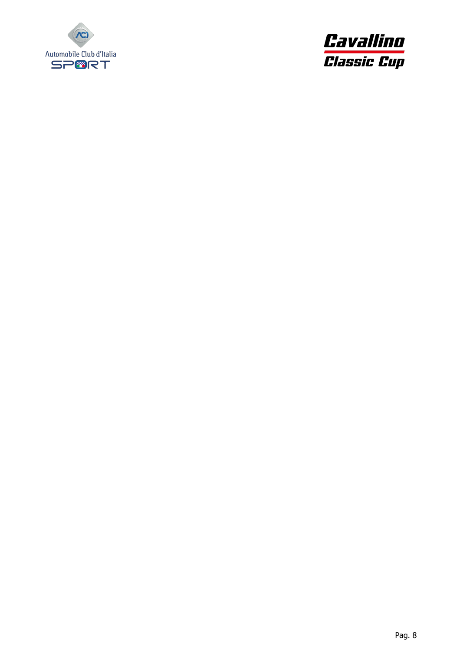

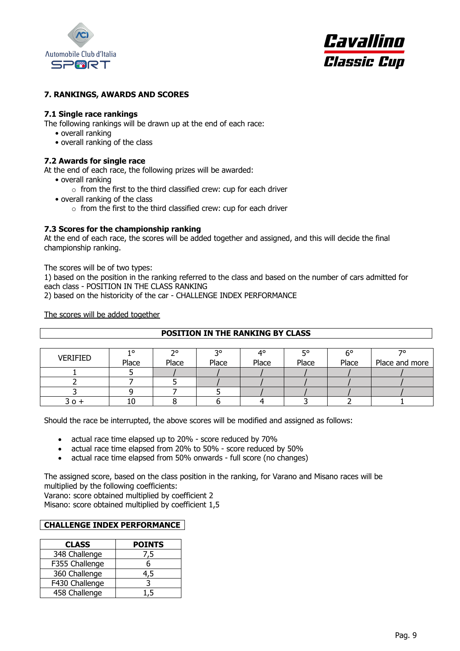



# **7. RANKINGS, AWARDS AND SCORES**

### **7.1 Single race rankings**

The following rankings will be drawn up at the end of each race:

- overall ranking
- overall ranking of the class

## **7.2 Awards for single race**

At the end of each race, the following prizes will be awarded:

- overall ranking
	- $\circ$  from the first to the third classified crew: cup for each driver
- overall ranking of the class
	- $\circ$  from the first to the third classified crew: cup for each driver

## **7.3 Scores for the championship ranking**

At the end of each race, the scores will be added together and assigned, and this will decide the final championship ranking.

The scores will be of two types:

1) based on the position in the ranking referred to the class and based on the number of cars admitted for each class - POSITION IN THE CLASS RANKING

2) based on the historicity of the car - CHALLENGE INDEX PERFORMANCE

The scores will be added together

| <b>POSITION IN THE RANKING BY CLASS</b> |       |       |       |       |       |       |                |  |
|-----------------------------------------|-------|-------|-------|-------|-------|-------|----------------|--|
|                                         |       |       |       |       |       |       |                |  |
| <b>VERIFIED</b>                         | 10    | າ∘    | 20    | 40    | ᄗ     | FΟ    |                |  |
|                                         | Place | Place | Place | Place | Place | Place | Place and more |  |
|                                         |       |       |       |       |       |       |                |  |
|                                         |       |       |       |       |       |       |                |  |
|                                         |       |       |       |       |       |       |                |  |
| 3 o +                                   |       |       |       |       |       |       |                |  |

Should the race be interrupted, the above scores will be modified and assigned as follows:

- actual race time elapsed up to 20% score reduced by 70%
- actual race time elapsed from 20% to 50% score reduced by 50%
- actual race time elapsed from 50% onwards full score (no changes)

The assigned score, based on the class position in the ranking, for Varano and Misano races will be multiplied by the following coefficients:

Varano: score obtained multiplied by coefficient 2

Misano: score obtained multiplied by coefficient 1,5

#### **CHALLENGE INDEX PERFORMANCE**

| <b>CLASS</b>   | <b>POINTS</b> |  |  |  |
|----------------|---------------|--|--|--|
| 348 Challenge  | 7,5           |  |  |  |
| F355 Challenge | 6             |  |  |  |
| 360 Challenge  | $\cdot$ 5     |  |  |  |
| F430 Challenge |               |  |  |  |
| 458 Challenge  |               |  |  |  |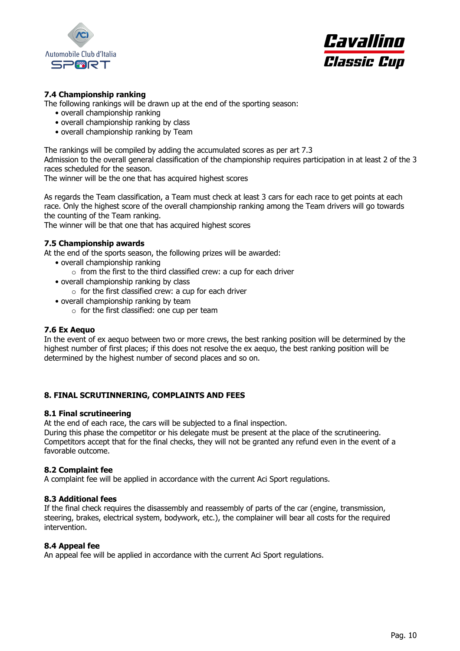



### **7.4 Championship ranking**

The following rankings will be drawn up at the end of the sporting season:

- overall championship ranking
- overall championship ranking by class
- overall championship ranking by Team

The rankings will be compiled by adding the accumulated scores as per art 7.3

Admission to the overall general classification of the championship requires participation in at least 2 of the 3 races scheduled for the season.

The winner will be the one that has acquired highest scores

As regards the Team classification, a Team must check at least 3 cars for each race to get points at each race. Only the highest score of the overall championship ranking among the Team drivers will go towards the counting of the Team ranking.

The winner will be that one that has acquired highest scores

#### **7.5 Championship awards**

At the end of the sports season, the following prizes will be awarded:

- overall championship ranking
	- $\circ$  from the first to the third classified crew: a cup for each driver
- overall championship ranking by class
	- $\circ$  for the first classified crew: a cup for each driver
- overall championship ranking by team
	- $\circ$  for the first classified: one cup per team

#### **7.6 Ex Aequo**

In the event of ex aequo between two or more crews, the best ranking position will be determined by the highest number of first places; if this does not resolve the ex aequo, the best ranking position will be determined by the highest number of second places and so on.

# **8. FINAL SCRUTINNERING, COMPLAINTS AND FEES**

#### **8.1 Final scrutineering**

At the end of each race, the cars will be subjected to a final inspection.

During this phase the competitor or his delegate must be present at the place of the scrutineering. Competitors accept that for the final checks, they will not be granted any refund even in the event of a favorable outcome.

#### **8.2 Complaint fee**

A complaint fee will be applied in accordance with the current Aci Sport regulations.

#### **8.3 Additional fees**

If the final check requires the disassembly and reassembly of parts of the car (engine, transmission, steering, brakes, electrical system, bodywork, etc.), the complainer will bear all costs for the required intervention.

#### **8.4 Appeal fee**

An appeal fee will be applied in accordance with the current Aci Sport regulations.